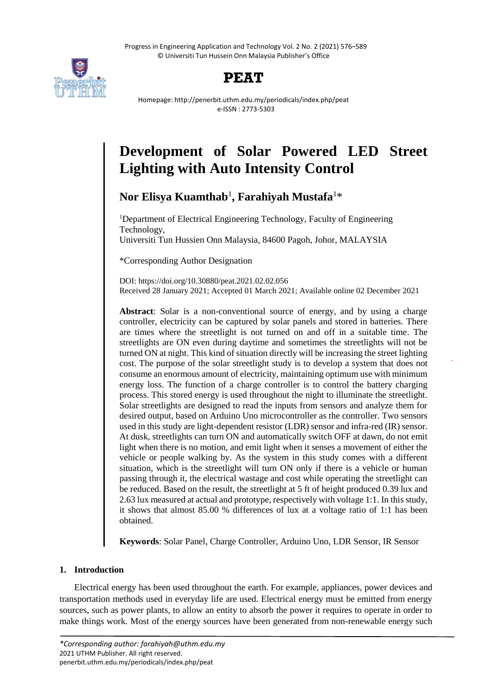Progress in Engineering Application and Technology Vol. 2 No. 2 (2021) 576–589 © Universiti Tun Hussein Onn Malaysia Publisher's Office



## **PEAT**

Homepage: http://penerbit.uthm.edu.my/periodicals/index.php/peat e-ISSN : 2773-5303

# **Development of Solar Powered LED Street Lighting with Auto Intensity Control**

**Nor Elisya Kuamthab**<sup>1</sup> **, Farahiyah Mustafa**<sup>1</sup>\*

<sup>1</sup>Department of Electrical Engineering Technology, Faculty of Engineering Technology, Universiti Tun Hussien Onn Malaysia, 84600 Pagoh, Johor, MALAYSIA

\*Corresponding Author Designation

DOI: https://doi.org/10.30880/peat.2021.02.02.056 Received 28 January 2021; Accepted 01 March 2021; Available online 02 December 2021

**Abstract**: Solar is a non-conventional source of energy, and by using a charge controller, electricity can be captured by solar panels and stored in batteries. There are times where the streetlight is not turned on and off in a suitable time. The streetlights are ON even during daytime and sometimes the streetlights will not be turned ON at night. This kind of situation directly will be increasing the street lighting cost. The purpose of the solar streetlight study is to develop a system that does not consume an enormous amount of electricity, maintaining optimum use with minimum energy loss. The function of a charge controller is to control the battery charging process. This stored energy is used throughout the night to illuminate the streetlight. Solar streetlights are designed to read the inputs from sensors and analyze them for desired output, based on Arduino Uno microcontroller as the controller. Two sensors used in this study are light-dependent resistor (LDR) sensor and infra-red (IR) sensor. At dusk, streetlights can turn ON and automatically switch OFF at dawn, do not emit light when there is no motion, and emit light when it senses a movement of either the vehicle or people walking by. As the system in this study comes with a different situation, which is the streetlight will turn ON only if there is a vehicle or human passing through it, the electrical wastage and cost while operating the streetlight can be reduced. Based on the result, the streetlight at 5 ft of height produced 0.39 lux and 2.63 lux measured at actual and prototype, respectively with voltage 1:1. In this study, it shows that almost 85.00 % differences of lux at a voltage ratio of 1:1 has been obtained.

**Keywords**: Solar Panel, Charge Controller, Arduino Uno, LDR Sensor, IR Sensor

## **1. Introduction**

Electrical energy has been used throughout the earth. For example, appliances, power devices and transportation methods used in everyday life are used. Electrical energy must be emitted from energy sources, such as power plants, to allow an entity to absorb the power it requires to operate in order to make things work. Most of the energy sources have been generated from non-renewable energy such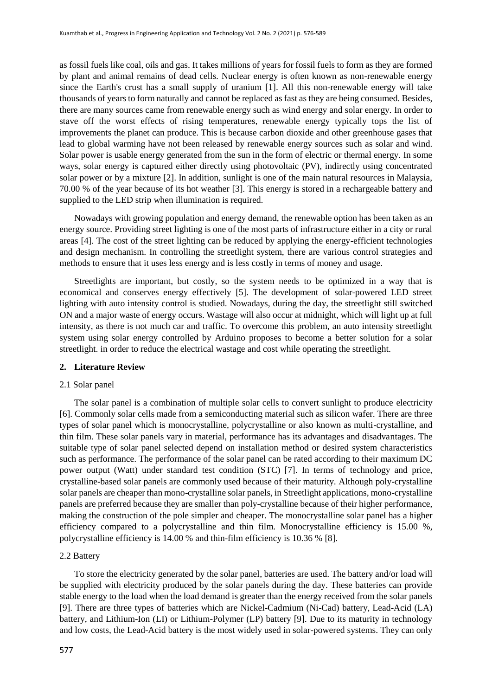as fossil fuels like coal, oils and gas. It takes millions of years for fossil fuels to form as they are formed by plant and animal remains of dead cells. Nuclear energy is often known as non-renewable energy since the Earth's crust has a small supply of uranium [1]. All this non-renewable energy will take thousands of years to form naturally and cannot be replaced as fast as they are being consumed. Besides, there are many sources came from renewable energy such as wind energy and solar energy. In order to stave off the worst effects of rising temperatures, renewable energy typically tops the list of improvements the planet can produce. This is because carbon dioxide and other greenhouse gases that lead to global warming have not been released by renewable energy sources such as solar and wind. Solar power is usable energy generated from the sun in the form of electric or thermal energy. In some ways, solar energy is captured either directly using photovoltaic (PV), indirectly using concentrated solar power or by a mixture [2]. In addition, sunlight is one of the main natural resources in Malaysia, 70.00 % of the year because of its hot weather [3]. This energy is stored in a rechargeable battery and supplied to the LED strip when illumination is required.

Nowadays with growing population and energy demand, the renewable option has been taken as an energy source. Providing street lighting is one of the most parts of infrastructure either in a city or rural areas [4]. The cost of the street lighting can be reduced by applying the energy-efficient technologies and design mechanism. In controlling the streetlight system, there are various control strategies and methods to ensure that it uses less energy and is less costly in terms of money and usage.

Streetlights are important, but costly, so the system needs to be optimized in a way that is economical and conserves energy effectively [5]. The development of solar-powered LED street lighting with auto intensity control is studied. Nowadays, during the day, the streetlight still switched ON and a major waste of energy occurs. Wastage will also occur at midnight, which will light up at full intensity, as there is not much car and traffic. To overcome this problem, an auto intensity streetlight system using solar energy controlled by Arduino proposes to become a better solution for a solar streetlight. in order to reduce the electrical wastage and cost while operating the streetlight.

## **2. Literature Review**

#### 2.1 Solar panel

The solar panel is a combination of multiple solar cells to convert sunlight to produce electricity [6]. Commonly solar cells made from a semiconducting material such as silicon wafer. There are three types of solar panel which is monocrystalline, polycrystalline or also known as multi-crystalline, and thin film. These solar panels vary in material, performance has its advantages and disadvantages. The suitable type of solar panel selected depend on installation method or desired system characteristics such as performance. The performance of the solar panel can be rated according to their maximum DC power output (Watt) under standard test condition (STC) [7]. In terms of technology and price, crystalline-based solar panels are commonly used because of their maturity. Although poly-crystalline solar panels are cheaper than mono-crystalline solar panels, in Streetlight applications, mono-crystalline panels are preferred because they are smaller than poly-crystalline because of their higher performance, making the construction of the pole simpler and cheaper. The monocrystalline solar panel has a higher efficiency compared to a polycrystalline and thin film. Monocrystalline efficiency is 15.00 %, polycrystalline efficiency is 14.00 % and thin-film efficiency is 10.36 % [8].

## 2.2 Battery

To store the electricity generated by the solar panel, batteries are used. The battery and/or load will be supplied with electricity produced by the solar panels during the day. These batteries can provide stable energy to the load when the load demand is greater than the energy received from the solar panels [9]. There are three types of batteries which are Nickel-Cadmium (Ni-Cad) battery, Lead-Acid (LA) battery, and Lithium-Ion (LI) or Lithium-Polymer (LP) battery [9]. Due to its maturity in technology and low costs, the Lead-Acid battery is the most widely used in solar-powered systems. They can only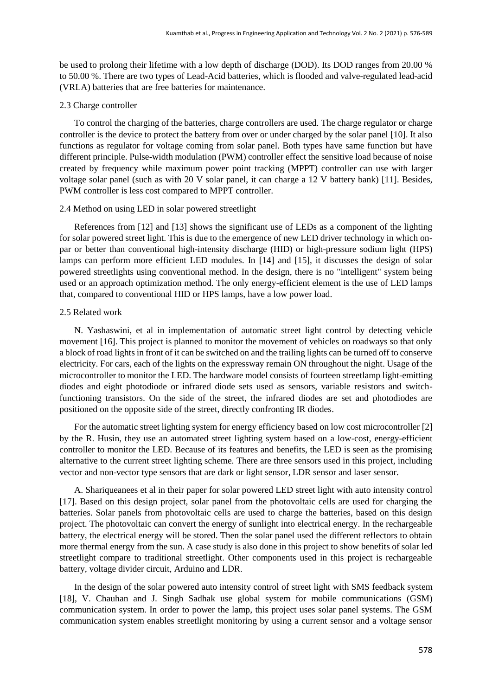be used to prolong their lifetime with a low depth of discharge (DOD). Its DOD ranges from 20.00 % to 50.00 %. There are two types of Lead-Acid batteries, which is flooded and valve-regulated lead-acid (VRLA) batteries that are free batteries for maintenance.

#### 2.3 Charge controller

To control the charging of the batteries, charge controllers are used. The charge regulator or charge controller is the device to protect the battery from over or under charged by the solar panel [10]. It also functions as regulator for voltage coming from solar panel. Both types have same function but have different principle. Pulse-width modulation (PWM) controller effect the sensitive load because of noise created by frequency while maximum power point tracking (MPPT) controller can use with larger voltage solar panel (such as with 20 V solar panel, it can charge a 12 V battery bank) [11]. Besides, PWM controller is less cost compared to MPPT controller.

#### 2.4 Method on using LED in solar powered streetlight

References from [12] and [13] shows the significant use of LEDs as a component of the lighting for solar powered street light. This is due to the emergence of new LED driver technology in which onpar or better than conventional high-intensity discharge (HID) or high-pressure sodium light (HPS) lamps can perform more efficient LED modules. In [14] and [15], it discusses the design of solar powered streetlights using conventional method. In the design, there is no "intelligent" system being used or an approach optimization method. The only energy-efficient element is the use of LED lamps that, compared to conventional HID or HPS lamps, have a low power load.

## 2.5 Related work

N. Yashaswini, et al in implementation of automatic street light control by detecting vehicle movement [16]. This project is planned to monitor the movement of vehicles on roadways so that only a block of road lights in front of it can be switched on and the trailing lights can be turned off to conserve electricity. For cars, each of the lights on the expressway remain ON throughout the night. Usage of the microcontroller to monitor the LED. The hardware model consists of fourteen streetlamp light-emitting diodes and eight photodiode or infrared diode sets used as sensors, variable resistors and switchfunctioning transistors. On the side of the street, the infrared diodes are set and photodiodes are positioned on the opposite side of the street, directly confronting IR diodes.

For the automatic street lighting system for energy efficiency based on low cost microcontroller [2] by the R. Husin, they use an automated street lighting system based on a low-cost, energy-efficient controller to monitor the LED. Because of its features and benefits, the LED is seen as the promising alternative to the current street lighting scheme. There are three sensors used in this project, including vector and non-vector type sensors that are dark or light sensor, LDR sensor and laser sensor.

A. Shariqueanees et al in their paper for solar powered LED street light with auto intensity control [17]. Based on this design project, solar panel from the photovoltaic cells are used for charging the batteries. Solar panels from photovoltaic cells are used to charge the batteries, based on this design project. The photovoltaic can convert the energy of sunlight into electrical energy. In the rechargeable battery, the electrical energy will be stored. Then the solar panel used the different reflectors to obtain more thermal energy from the sun. A case study is also done in this project to show benefits of solar led streetlight compare to traditional streetlight. Other components used in this project is rechargeable battery, voltage divider circuit, Arduino and LDR.

In the design of the solar powered auto intensity control of street light with SMS feedback system [18], V. Chauhan and J. Singh Sadhak use global system for mobile communications (GSM) communication system. In order to power the lamp, this project uses solar panel systems. The GSM communication system enables streetlight monitoring by using a current sensor and a voltage sensor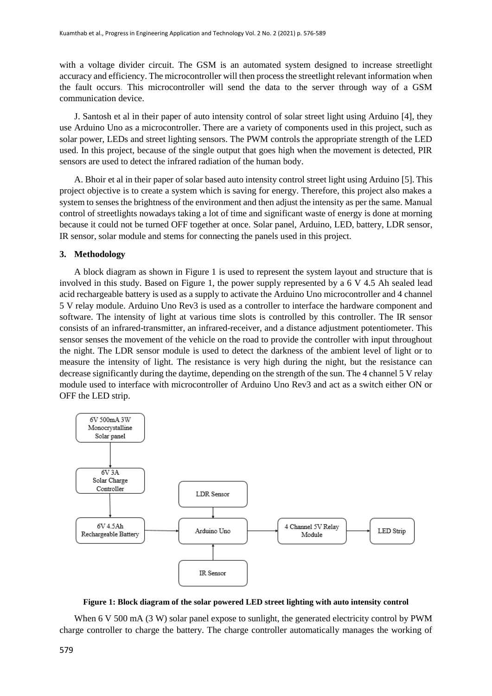with a voltage divider circuit. The GSM is an automated system designed to increase streetlight accuracy and efficiency. The microcontroller will then process the streetlight relevant information when the fault occurs. This microcontroller will send the data to the server through way of a GSM communication device.

J. Santosh et al in their paper of auto intensity control of solar street light using Arduino [4], they use Arduino Uno as a microcontroller. There are a variety of components used in this project, such as solar power, LEDs and street lighting sensors. The PWM controls the appropriate strength of the LED used. In this project, because of the single output that goes high when the movement is detected, PIR sensors are used to detect the infrared radiation of the human body.

A. Bhoir et al in their paper of solar based auto intensity control street light using Arduino [5]. This project objective is to create a system which is saving for energy. Therefore, this project also makes a system to senses the brightness of the environment and then adjust the intensity as per the same. Manual control of streetlights nowadays taking a lot of time and significant waste of energy is done at morning because it could not be turned OFF together at once. Solar panel, Arduino, LED, battery, LDR sensor, IR sensor, solar module and stems for connecting the panels used in this project.

#### **3. Methodology**

A block diagram as shown in Figure 1 is used to represent the system layout and structure that is involved in this study. Based on Figure 1, the power supply represented by a 6 V 4.5 Ah sealed lead acid rechargeable battery is used as a supply to activate the Arduino Uno microcontroller and 4 channel 5 V relay module. Arduino Uno Rev3 is used as a controller to interface the hardware component and software. The intensity of light at various time slots is controlled by this controller. The IR sensor consists of an infrared-transmitter, an infrared-receiver, and a distance adjustment potentiometer. This sensor senses the movement of the vehicle on the road to provide the controller with input throughout the night. The LDR sensor module is used to detect the darkness of the ambient level of light or to measure the intensity of light. The resistance is very high during the night, but the resistance can decrease significantly during the daytime, depending on the strength of the sun. The 4 channel 5 V relay module used to interface with microcontroller of Arduino Uno Rev3 and act as a switch either ON or OFF the LED strip.



**Figure 1: Block diagram of the solar powered LED street lighting with auto intensity control**

When 6 V 500 mA (3 W) solar panel expose to sunlight, the generated electricity control by PWM charge controller to charge the battery. The charge controller automatically manages the working of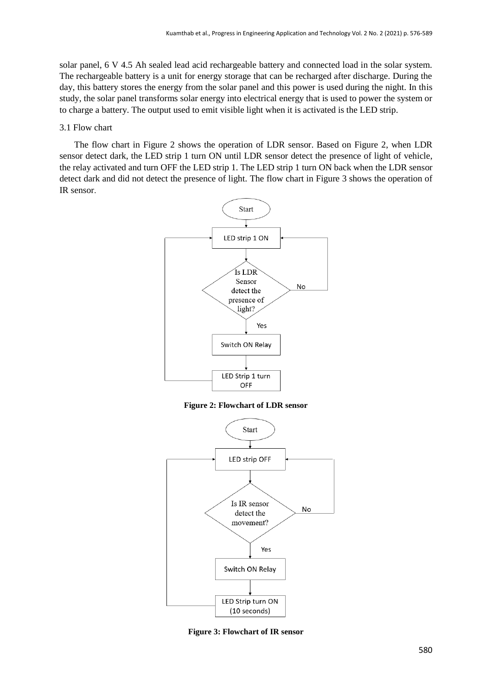solar panel, 6 V 4.5 Ah sealed lead acid rechargeable battery and connected load in the solar system. The rechargeable battery is a unit for energy storage that can be recharged after discharge. During the day, this battery stores the energy from the solar panel and this power is used during the night. In this study, the solar panel transforms solar energy into electrical energy that is used to power the system or to charge a battery. The output used to emit visible light when it is activated is the LED strip.

#### 3.1 Flow chart

The flow chart in Figure 2 shows the operation of LDR sensor. Based on Figure 2, when LDR sensor detect dark, the LED strip 1 turn ON until LDR sensor detect the presence of light of vehicle, the relay activated and turn OFF the LED strip 1. The LED strip 1 turn ON back when the LDR sensor detect dark and did not detect the presence of light. The flow chart in Figure 3 shows the operation of IR sensor.



**Figure 2: Flowchart of LDR sensor**



**Figure 3: Flowchart of IR sensor**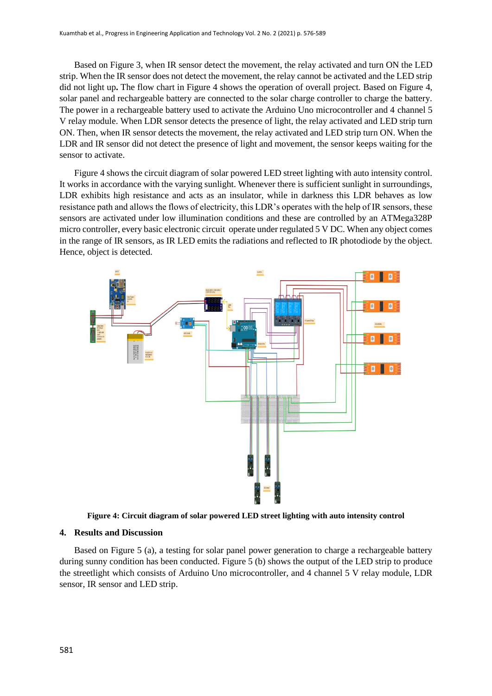Based on Figure 3, when IR sensor detect the movement, the relay activated and turn ON the LED strip. When the IR sensor does not detect the movement, the relay cannot be activated and the LED strip did not light up**.** The flow chart in Figure 4 shows the operation of overall project. Based on Figure 4, solar panel and rechargeable battery are connected to the solar charge controller to charge the battery. The power in a rechargeable battery used to activate the Arduino Uno microcontroller and 4 channel 5 V relay module. When LDR sensor detects the presence of light, the relay activated and LED strip turn ON. Then, when IR sensor detects the movement, the relay activated and LED strip turn ON. When the LDR and IR sensor did not detect the presence of light and movement, the sensor keeps waiting for the sensor to activate.

Figure 4 shows the circuit diagram of solar powered LED street lighting with auto intensity control. It works in accordance with the varying sunlight. Whenever there is sufficient sunlight in surroundings, LDR exhibits high resistance and acts as an insulator, while in darkness this LDR behaves as low resistance path and allows the flows of electricity, this LDR's operates with the help of IR sensors, these sensors are activated under low illumination conditions and these are controlled by an ATMega328P micro controller, every basic electronic circuit operate under regulated 5 V DC. When any object comes in the range of IR sensors, as IR LED emits the radiations and reflected to IR photodiode by the object. Hence, object is detected.



**Figure 4: Circuit diagram of solar powered LED street lighting with auto intensity control**

#### **4. Results and Discussion**

Based on Figure 5 (a), a testing for solar panel power generation to charge a rechargeable battery during sunny condition has been conducted. Figure 5 (b) shows the output of the LED strip to produce the streetlight which consists of Arduino Uno microcontroller, and 4 channel 5 V relay module, LDR sensor, IR sensor and LED strip.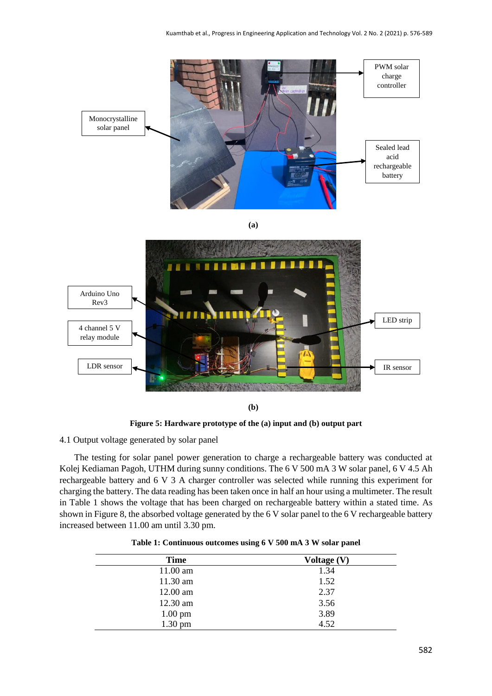

**Figure 5: Hardware prototype of the (a) input and (b) output part**

## 4.1 Output voltage generated by solar panel

The testing for solar panel power generation to charge a rechargeable battery was conducted at Kolej Kediaman Pagoh, UTHM during sunny conditions. The 6 V 500 mA 3 W solar panel, 6 V 4.5 Ah rechargeable battery and 6 V 3 A charger controller was selected while running this experiment for charging the battery. The data reading has been taken once in half an hour using a multimeter. The result in Table 1 shows the voltage that has been charged on rechargeable battery within a stated time. As shown in Figure 8, the absorbed voltage generated by the 6 V solar panel to the 6 V rechargeable battery increased between 11.00 am until 3.30 pm.

| <b>Time</b>       | Voltage (V) |  |
|-------------------|-------------|--|
| 11.00 am          | 1.34        |  |
| 11.30 am          | 1.52        |  |
| $12.00$ am        | 2.37        |  |
| 12.30 am          | 3.56        |  |
| $1.00 \text{ pm}$ | 3.89        |  |
| $1.30$ pm         | 4.52        |  |

**Table 1: Continuous outcomes using 6 V 500 mA 3 W solar panel**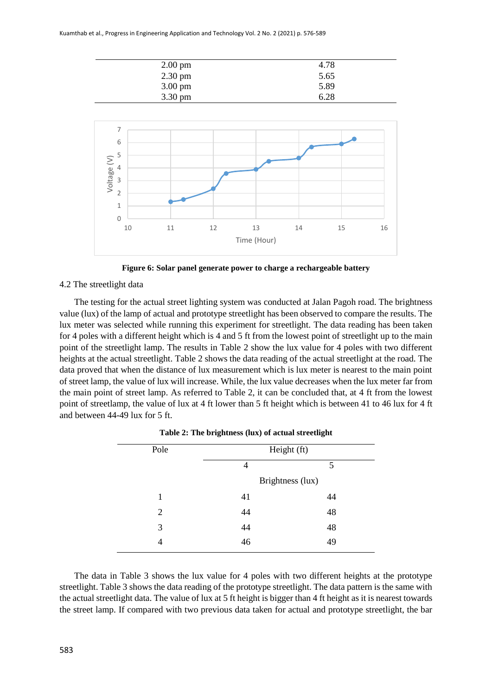

**Figure 6: Solar panel generate power to charge a rechargeable battery**

## 4.2 The streetlight data

The testing for the actual street lighting system was conducted at Jalan Pagoh road. The brightness value (lux) of the lamp of actual and prototype streetlight has been observed to compare the results. The lux meter was selected while running this experiment for streetlight. The data reading has been taken for 4 poles with a different height which is 4 and 5 ft from the lowest point of streetlight up to the main point of the streetlight lamp. The results in Table 2 show the lux value for 4 poles with two different heights at the actual streetlight. Table 2 shows the data reading of the actual streetlight at the road. The data proved that when the distance of lux measurement which is lux meter is nearest to the main point of street lamp, the value of lux will increase. While, the lux value decreases when the lux meter far from the main point of street lamp. As referred to Table 2, it can be concluded that, at 4 ft from the lowest point of streetlamp, the value of lux at 4 ft lower than 5 ft height which is between 41 to 46 lux for 4 ft and between 44-49 lux for 5 ft.

| Pole | Height (ft)      |    |
|------|------------------|----|
|      | 4                | 5  |
|      | Brightness (lux) |    |
| 1    | 41               | 44 |
| 2    | 44               | 48 |
| 3    | 44               | 48 |
| 4    | 46               | 49 |
|      |                  |    |

|  | Table 2: The brightness (lux) of actual streetlight |  |  |  |
|--|-----------------------------------------------------|--|--|--|
|  |                                                     |  |  |  |

The data in Table 3 shows the lux value for 4 poles with two different heights at the prototype streetlight. Table 3 shows the data reading of the prototype streetlight. The data pattern is the same with the actual streetlight data. The value of lux at 5 ft height is bigger than 4 ft height as it is nearest towards the street lamp. If compared with two previous data taken for actual and prototype streetlight, the bar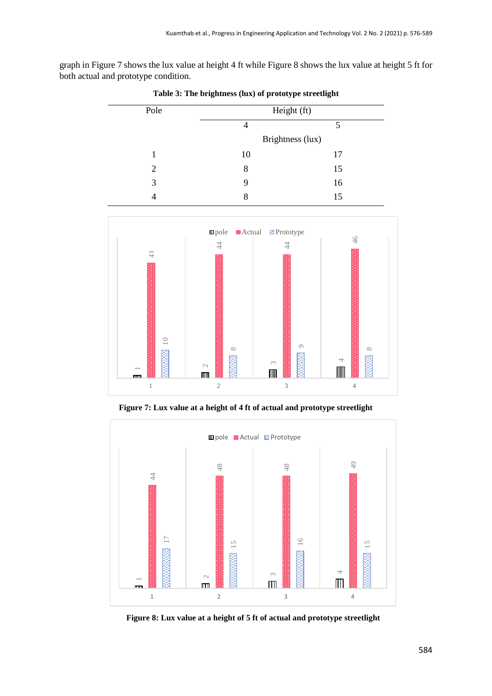graph in Figure 7 shows the lux value at height 4 ft while Figure 8 shows the lux value at height 5 ft for both actual and prototype condition.

| Pole           |                                      | Height (ft)              |           |
|----------------|--------------------------------------|--------------------------|-----------|
|                | 5<br>$\overline{4}$                  |                          |           |
|                |                                      | Brightness (lux)         |           |
| $\mathbf 1$    | $10\,$                               |                          | $17\,$    |
| $\sqrt{2}$     | $8\,$                                |                          | 15        |
| 3              | 9                                    |                          | 16        |
| $\overline{4}$ | $8\,$                                |                          | 15        |
|                |                                      |                          |           |
|                | $\blacksquare$ pole<br><b>Actual</b> | <b>Prototype</b>         |           |
|                | $\overline{4}$                       | $44$                     | $46$      |
| $\frac{1}{4}$  |                                      |                          |           |
|                |                                      |                          |           |
|                |                                      |                          |           |
|                |                                      |                          |           |
|                |                                      |                          |           |
|                |                                      |                          |           |
| $\supseteq$    |                                      | $\circ$                  |           |
|                | $\infty$                             |                          | $\infty$  |
|                | $\mathord{\sim}$<br>$\mathbb{m}$     | $\infty$<br>$\mathbb{I}$ | 4<br>IIII |

**Table 3: The brightness (lux) of prototype streetlight**

**Figure 7: Lux value at a height of 4 ft of actual and prototype streetlight**

2 3 4



**Figure 8: Lux value at a height of 5 ft of actual and prototype streetlight**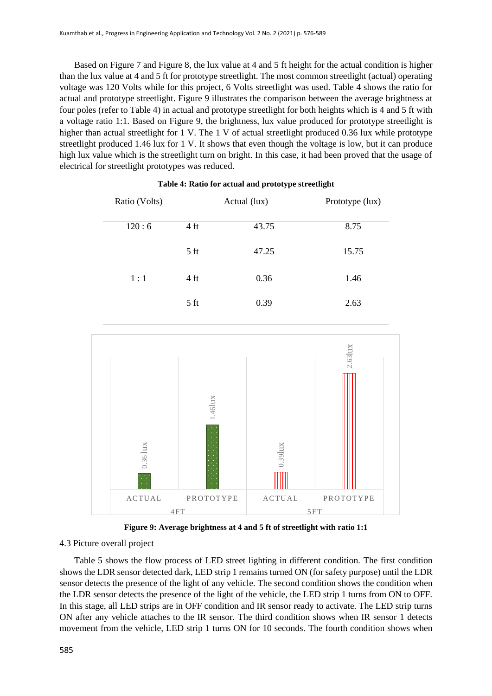Based on Figure 7 and Figure 8, the lux value at 4 and 5 ft height for the actual condition is higher than the lux value at 4 and 5 ft for prototype streetlight. The most common streetlight (actual) operating voltage was 120 Volts while for this project, 6 Volts streetlight was used. Table 4 shows the ratio for actual and prototype streetlight. Figure 9 illustrates the comparison between the average brightness at four poles (refer to Table 4) in actual and prototype streetlight for both heights which is 4 and 5 ft with a voltage ratio 1:1. Based on Figure 9, the brightness, lux value produced for prototype streetlight is higher than actual streetlight for 1 V. The 1 V of actual streetlight produced 0.36 lux while prototype streetlight produced 1.46 lux for 1 V. It shows that even though the voltage is low, but it can produce high lux value which is the streetlight turn on bright. In this case, it had been proved that the usage of electrical for streetlight prototypes was reduced.

| Ratio (Volts) |                 | Actual (lux) | Prototype (lux) |
|---------------|-----------------|--------------|-----------------|
|               |                 |              |                 |
| 120:6         | 4 ft            | 43.75        | 8.75            |
|               | 5 <sub>ft</sub> | 47.25        | 15.75           |
| 1:1           | 4 ft            | 0.36         | 1.46            |
|               | 5 <sub>ft</sub> | 0.39         | 2.63            |

## **Table 4: Ratio for actual and prototype streetlight**



**Figure 9: Average brightness at 4 and 5 ft of streetlight with ratio 1:1**

#### 4.3 Picture overall project

Table 5 shows the flow process of LED street lighting in different condition. The first condition shows the LDR sensor detected dark, LED strip 1 remains turned ON (for safety purpose) until the LDR sensor detects the presence of the light of any vehicle. The second condition shows the condition when the LDR sensor detects the presence of the light of the vehicle, the LED strip 1 turns from ON to OFF. In this stage, all LED strips are in OFF condition and IR sensor ready to activate. The LED strip turns ON after any vehicle attaches to the IR sensor. The third condition shows when IR sensor 1 detects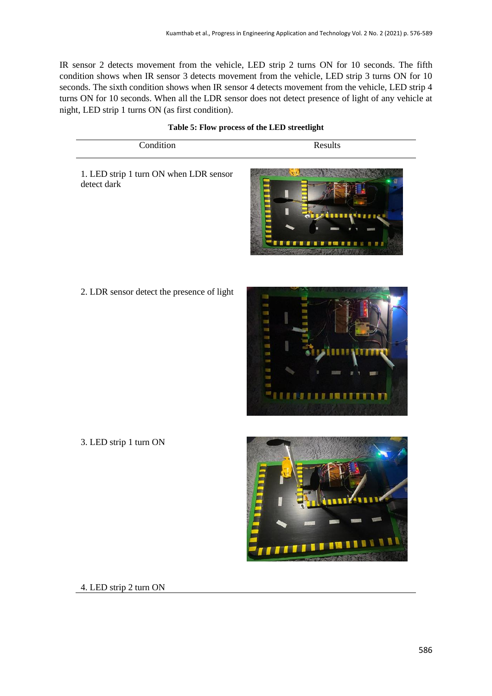IR sensor 2 detects movement from the vehicle, LED strip 2 turns ON for 10 seconds. The fifth condition shows when IR sensor 3 detects movement from the vehicle, LED strip 3 turns ON for 10 seconds. The sixth condition shows when IR sensor 4 detects movement from the vehicle, LED strip 4 turns ON for 10 seconds. When all the LDR sensor does not detect presence of light of any vehicle at night, LED strip 1 turns ON (as first condition).

**Table 5: Flow process of the LED streetlight**

| Condition                                                                                                                                                                                                                                                                                                                                                                            | Results |  |  |
|--------------------------------------------------------------------------------------------------------------------------------------------------------------------------------------------------------------------------------------------------------------------------------------------------------------------------------------------------------------------------------------|---------|--|--|
| $\overline{a}$ $\overline{b}$ $\overline{c}$ $\overline{c}$ $\overline{c}$ $\overline{c}$ $\overline{c}$ $\overline{c}$ $\overline{c}$ $\overline{c}$ $\overline{c}$ $\overline{c}$ $\overline{c}$ $\overline{c}$ $\overline{c}$ $\overline{c}$ $\overline{c}$ $\overline{c}$ $\overline{c}$ $\overline{c}$ $\overline{c}$ $\overline{c}$ $\overline{c}$ $\overline{c}$ $\overline{$ |         |  |  |

1. LED strip 1 turn ON when LDR sensor detect dark



2. LDR sensor detect the presence of light



3. LED strip 1 turn ON



4. LED strip 2 turn ON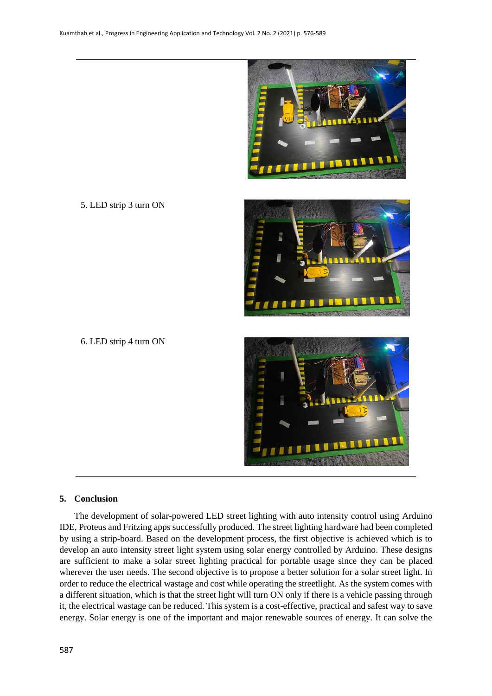

5. LED strip 3 turn ON



6. LED strip 4 turn ON



#### **5. Conclusion**

The development of solar-powered LED street lighting with auto intensity control using Arduino IDE, Proteus and Fritzing apps successfully produced. The street lighting hardware had been completed by using a strip-board. Based on the development process, the first objective is achieved which is to develop an auto intensity street light system using solar energy controlled by Arduino. These designs are sufficient to make a solar street lighting practical for portable usage since they can be placed wherever the user needs. The second objective is to propose a better solution for a solar street light. In order to reduce the electrical wastage and cost while operating the streetlight. As the system comes with a different situation, which is that the street light will turn ON only if there is a vehicle passing through it, the electrical wastage can be reduced. This system is a cost-effective, practical and safest way to save energy. Solar energy is one of the important and major renewable sources of energy. It can solve the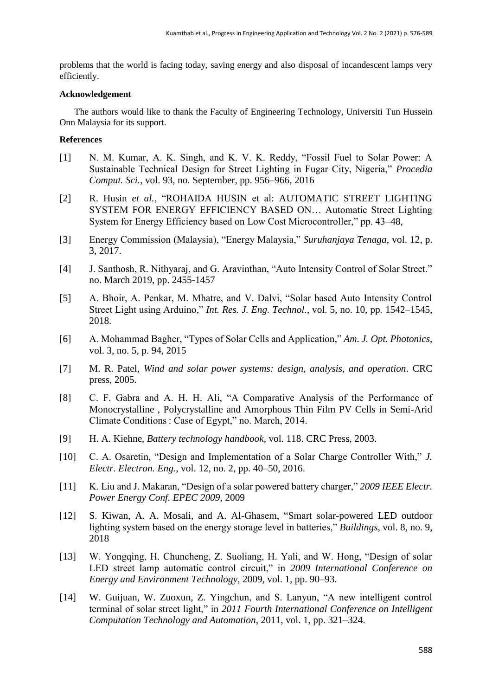problems that the world is facing today, saving energy and also disposal of incandescent lamps very efficiently.

## **Acknowledgement**

The authors would like to thank the Faculty of Engineering Technology, Universiti Tun Hussein Onn Malaysia for its support.

## **References**

- [1] N. M. Kumar, A. K. Singh, and K. V. K. Reddy, "Fossil Fuel to Solar Power: A Sustainable Technical Design for Street Lighting in Fugar City, Nigeria," *Procedia Comput. Sci.*, vol. 93, no. September, pp. 956–966, 2016
- [2] R. Husin *et al.*, "ROHAIDA HUSIN et al: AUTOMATIC STREET LIGHTING SYSTEM FOR ENERGY EFFICIENCY BASED ON… Automatic Street Lighting System for Energy Efficiency based on Low Cost Microcontroller," pp. 43–48,
- [3] Energy Commission (Malaysia), "Energy Malaysia," *Suruhanjaya Tenaga*, vol. 12, p. 3, 2017.
- [4] J. Santhosh, R. Nithyaraj, and G. Aravinthan, "Auto Intensity Control of Solar Street." no. March 2019, pp. 2455-1457
- [5] A. Bhoir, A. Penkar, M. Mhatre, and V. Dalvi, "Solar based Auto Intensity Control Street Light using Arduino," *Int. Res. J. Eng. Technol.*, vol. 5, no. 10, pp. 1542–1545, 2018.
- [6] A. Mohammad Bagher, "Types of Solar Cells and Application," *Am. J. Opt. Photonics*, vol. 3, no. 5, p. 94, 2015
- [7] M. R. Patel, *Wind and solar power systems: design, analysis, and operation*. CRC press, 2005.
- [8] C. F. Gabra and A. H. H. Ali, "A Comparative Analysis of the Performance of Monocrystalline , Polycrystalline and Amorphous Thin Film PV Cells in Semi-Arid Climate Conditions : Case of Egypt," no. March, 2014.
- [9] H. A. Kiehne, *Battery technology handbook*, vol. 118. CRC Press, 2003.
- [10] C. A. Osaretin, "Design and Implementation of a Solar Charge Controller With," *J. Electr. Electron. Eng.*, vol. 12, no. 2, pp. 40–50, 2016.
- [11] K. Liu and J. Makaran, "Design of a solar powered battery charger," *2009 IEEE Electr. Power Energy Conf. EPEC 2009*, 2009
- [12] S. Kiwan, A. A. Mosali, and A. Al-Ghasem, "Smart solar-powered LED outdoor lighting system based on the energy storage level in batteries," *Buildings*, vol. 8, no. 9, 2018
- [13] W. Yongqing, H. Chuncheng, Z. Suoliang, H. Yali, and W. Hong, "Design of solar LED street lamp automatic control circuit," in *2009 International Conference on Energy and Environment Technology*, 2009, vol. 1, pp. 90–93.
- [14] W. Guijuan, W. Zuoxun, Z. Yingchun, and S. Lanyun, "A new intelligent control terminal of solar street light," in *2011 Fourth International Conference on Intelligent Computation Technology and Automation*, 2011, vol. 1, pp. 321–324.